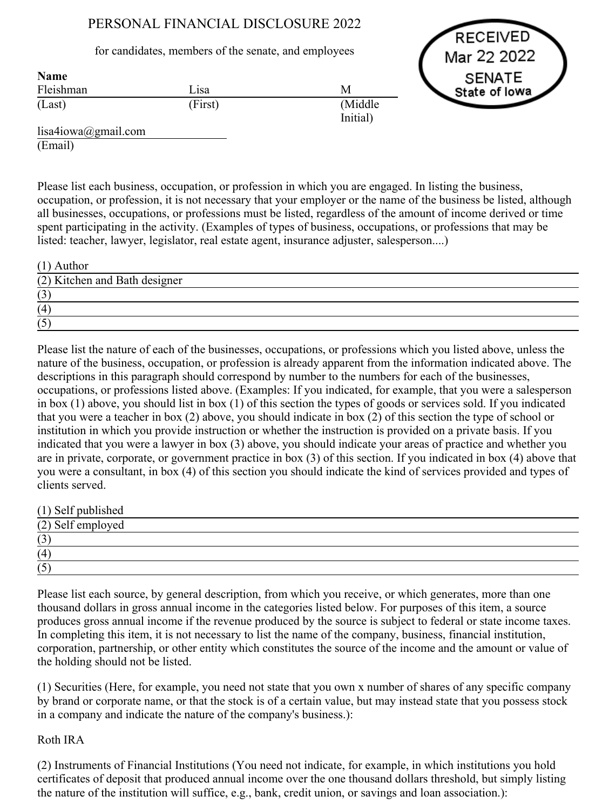# PERSONAL FINANCIAL DISCLOSURE 2022

## for candidates, members of the senate, and employees

RECEIVED Mar 22 2022 **SENATE** State of lowa

| <b>Name</b> |         |                     |
|-------------|---------|---------------------|
| Fleishman   | Lisa    | M                   |
| (Last)      | (First) | (Middle<br>Initial) |

lisa4iowa@gmail.com (Email)

Please list each business, occupation, or profession in which you are engaged. In listing the business, occupation, or profession, it is not necessary that your employer or the name of the business be listed, although all businesses, occupations, or professions must be listed, regardless of the amount of income derived or time spent participating in the activity. (Examples of types of business, occupations, or professions that may be listed: teacher, lawyer, legislator, real estate agent, insurance adjuster, salesperson....)

| $(1)$ Author                  |  |
|-------------------------------|--|
| (2) Kitchen and Bath designer |  |
| (3)                           |  |
| (4)                           |  |
| (5)                           |  |

Please list the nature of each of the businesses, occupations, or professions which you listed above, unless the nature of the business, occupation, or profession is already apparent from the information indicated above. The descriptions in this paragraph should correspond by number to the numbers for each of the businesses, occupations, or professions listed above. (Examples: If you indicated, for example, that you were a salesperson in box (1) above, you should list in box (1) of this section the types of goods or services sold. If you indicated that you were a teacher in box (2) above, you should indicate in box (2) of this section the type of school or institution in which you provide instruction or whether the instruction is provided on a private basis. If you indicated that you were a lawyer in box (3) above, you should indicate your areas of practice and whether you are in private, corporate, or government practice in box (3) of this section. If you indicated in box (4) above that you were a consultant, in box (4) of this section you should indicate the kind of services provided and types of clients served.

(1) Self published

| (2) Self employed |  |  |
|-------------------|--|--|
| (3)               |  |  |
| (4)               |  |  |
| (5)               |  |  |

Please list each source, by general description, from which you receive, or which generates, more than one thousand dollars in gross annual income in the categories listed below. For purposes of this item, a source produces gross annual income if the revenue produced by the source is subject to federal or state income taxes. In completing this item, it is not necessary to list the name of the company, business, financial institution, corporation, partnership, or other entity which constitutes the source of the income and the amount or value of the holding should not be listed.

(1) Securities (Here, for example, you need not state that you own x number of shares of any specific company by brand or corporate name, or that the stock is of a certain value, but may instead state that you possess stock in a company and indicate the nature of the company's business.):

# Roth IRA

(2) Instruments of Financial Institutions (You need not indicate, for example, in which institutions you hold certificates of deposit that produced annual income over the one thousand dollars threshold, but simply listing the nature of the institution will suffice, e.g., bank, credit union, or savings and loan association.):